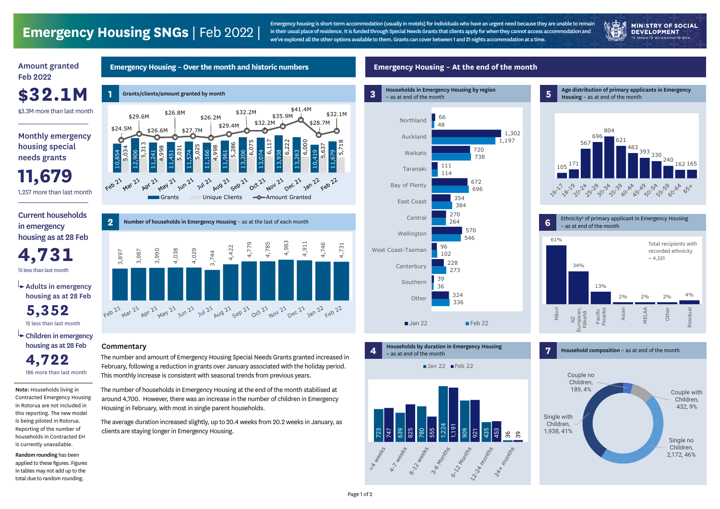#### **Emergency Housing – Over the month and historic numbers**

**1 3** Grants/clients/amount granted by month \$41.4M \$32.2M \$26.8M \$32.1M \$35.9M \$29.6M \$26.2M \$28.7M \$32.2M \$29.4M \$24.5M 16,000 \$26.6M \$27.7M 6,117 6,222 6,000 5,718 5,286 5,313 6,07 5,637 5,025 5,034 4,998 5,031 4,998 10,854 11,574 13,074 12,906 11,241 11,451 11,166 11,961 13,206 13,938 13,263 10,419 11,679 21 Dec 21 Feb 21  $\frac{1}{x^{12}}$ **Apr 21** 21 May 21 J 21 Jun 21 21 Sep 21 21 Nov 21 1 Jan 22 F 1 Jul 21 A 12 Aug 21 11 Oct 21 N Grants Unique Clients **-C**-Amount Granted

# **Emergency Housing SNGs** | Feb 2022 |







### **Emergency Housing – At the end of the month**

 $ightharpoonup$  Adults in emergency housing as at 28 Feb

Monthly emergency housing special needs grants

 $\rightarrow$  Children in emergency housing as at 28 Feb **4,722**

### Amount granted Feb 2022

\$3.3M more than last month

**\$32.1M**



**4** Households by duration in Emergency Housing – as at end of the month

Current households in emergency housing as at 28 Feb

**11,679** 1,257 more than last month

186 more than last month

12 less than last month **5,352**

15 less than last month **4,731**

The number and amount of Emergency Housing Special Needs Grants granted increased in February, following a reduction in grants over January associated with the holiday period. This monthly increase is consistent with seasonal trends from previous years.

The number of households in Emergency Housing at the end of the month stabilised at around 4,700. However, there was an increase in the number of children in Emergency Housing in February, with most in single parent households.

The average duration increased slightly, up to 20.4 weeks from 20.2 weeks in January, as clients are staying longer in Emergency Housing.

Note: Households living in Contracted Emergency Housing in Rotorua are not included in this reporting. The new model is being piloted in Rotorua. Reporting of the number of households in Contracted EH is currently unavailable.

Random rounding has been applied to these figures. Figures in tables may not add up to the total due to random rounding.



### **Commentary**

Emergency housing is short-term accommodation (usually in motels) for individuals who have an urgent need because they are unable to remain in their usual place of residence. It is funded through Special Needs Grants that clients apply for when they cannot access accommodation and we've explored all the other options available to them. Grants can cover between 1 and 21 nights accommodation at a time.